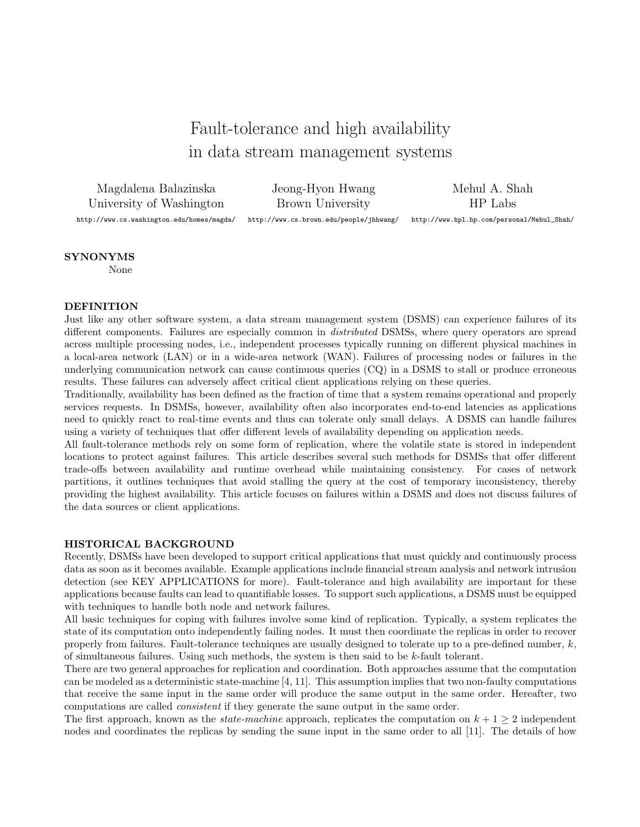# Fault-tolerance and high availability in data stream management systems

| Magdalena Balazinska                      | Jeong-Hyon Hwang                        | Mehul A. Shah                              |
|-------------------------------------------|-----------------------------------------|--------------------------------------------|
| University of Washington                  | Brown University                        | HP Labs                                    |
| http://www.cs.washington.edu/homes/magda/ | http://www.cs.brown.edu/people/jhhwang/ | http://www.hpl.hp.com/personal/Mehul_Shah/ |

# SYNONYMS

None

#### **DEFINITION**

Just like any other software system, a data stream management system (DSMS) can experience failures of its different components. Failures are especially common in *distributed* DSMSs, where query operators are spread across multiple processing nodes, i.e., independent processes typically running on different physical machines in a local-area network (LAN) or in a wide-area network (WAN). Failures of processing nodes or failures in the underlying communication network can cause continuous queries (CQ) in a DSMS to stall or produce erroneous results. These failures can adversely affect critical client applications relying on these queries.

Traditionally, availability has been defined as the fraction of time that a system remains operational and properly services requests. In DSMSs, however, availability often also incorporates end-to-end latencies as applications need to quickly react to real-time events and thus can tolerate only small delays. A DSMS can handle failures using a variety of techniques that offer different levels of availability depending on application needs.

All fault-tolerance methods rely on some form of replication, where the volatile state is stored in independent locations to protect against failures. This article describes several such methods for DSMSs that offer different trade-offs between availability and runtime overhead while maintaining consistency. For cases of network partitions, it outlines techniques that avoid stalling the query at the cost of temporary inconsistency, thereby providing the highest availability. This article focuses on failures within a DSMS and does not discuss failures of the data sources or client applications.

## HISTORICAL BACKGROUND

Recently, DSMSs have been developed to support critical applications that must quickly and continuously process data as soon as it becomes available. Example applications include financial stream analysis and network intrusion detection (see KEY APPLICATIONS for more). Fault-tolerance and high availability are important for these applications because faults can lead to quantifiable losses. To support such applications, a DSMS must be equipped with techniques to handle both node and network failures.

All basic techniques for coping with failures involve some kind of replication. Typically, a system replicates the state of its computation onto independently failing nodes. It must then coordinate the replicas in order to recover properly from failures. Fault-tolerance techniques are usually designed to tolerate up to a pre-defined number,  $k$ , of simultaneous failures. Using such methods, the system is then said to be k-fault tolerant.

There are two general approaches for replication and coordination. Both approaches assume that the computation can be modeled as a deterministic state-machine [4, 11]. This assumption implies that two non-faulty computations that receive the same input in the same order will produce the same output in the same order. Hereafter, two computations are called consistent if they generate the same output in the same order.

The first approach, known as the *state-machine* approach, replicates the computation on  $k + 1 \geq 2$  independent nodes and coordinates the replicas by sending the same input in the same order to all [11]. The details of how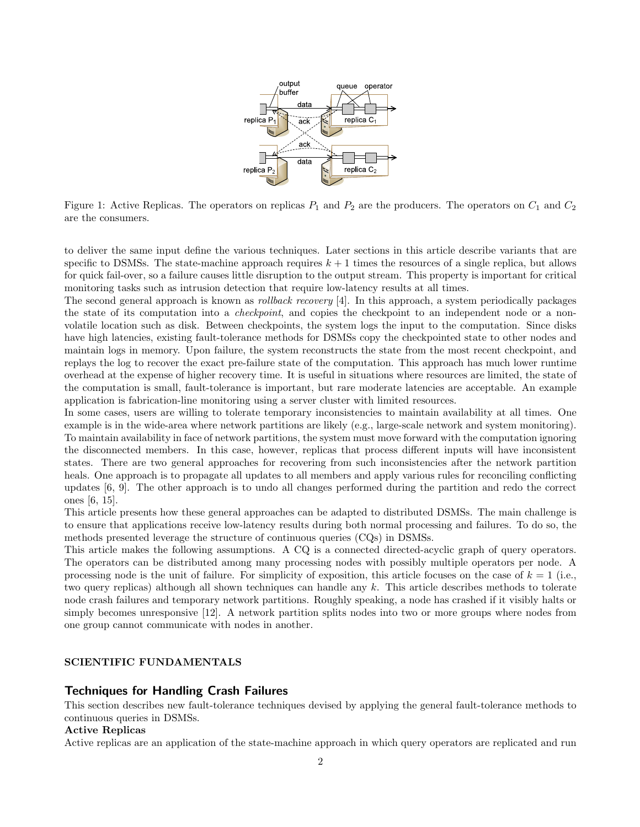

Figure 1: Active Replicas. The operators on replicas  $P_1$  and  $P_2$  are the producers. The operators on  $C_1$  and  $C_2$ are the consumers.

to deliver the same input define the various techniques. Later sections in this article describe variants that are specific to DSMSs. The state-machine approach requires  $k + 1$  times the resources of a single replica, but allows for quick fail-over, so a failure causes little disruption to the output stream. This property is important for critical monitoring tasks such as intrusion detection that require low-latency results at all times.

The second general approach is known as rollback recovery [4]. In this approach, a system periodically packages the state of its computation into a *checkpoint*, and copies the checkpoint to an independent node or a nonvolatile location such as disk. Between checkpoints, the system logs the input to the computation. Since disks have high latencies, existing fault-tolerance methods for DSMSs copy the checkpointed state to other nodes and maintain logs in memory. Upon failure, the system reconstructs the state from the most recent checkpoint, and replays the log to recover the exact pre-failure state of the computation. This approach has much lower runtime overhead at the expense of higher recovery time. It is useful in situations where resources are limited, the state of the computation is small, fault-tolerance is important, but rare moderate latencies are acceptable. An example application is fabrication-line monitoring using a server cluster with limited resources.

In some cases, users are willing to tolerate temporary inconsistencies to maintain availability at all times. One example is in the wide-area where network partitions are likely (e.g., large-scale network and system monitoring). To maintain availability in face of network partitions, the system must move forward with the computation ignoring the disconnected members. In this case, however, replicas that process different inputs will have inconsistent states. There are two general approaches for recovering from such inconsistencies after the network partition heals. One approach is to propagate all updates to all members and apply various rules for reconciling conflicting updates [6, 9]. The other approach is to undo all changes performed during the partition and redo the correct ones [6, 15].

This article presents how these general approaches can be adapted to distributed DSMSs. The main challenge is to ensure that applications receive low-latency results during both normal processing and failures. To do so, the methods presented leverage the structure of continuous queries (CQs) in DSMSs.

This article makes the following assumptions. A CQ is a connected directed-acyclic graph of query operators. The operators can be distributed among many processing nodes with possibly multiple operators per node. A processing node is the unit of failure. For simplicity of exposition, this article focuses on the case of  $k = 1$  (i.e., two query replicas) although all shown techniques can handle any k. This article describes methods to tolerate node crash failures and temporary network partitions. Roughly speaking, a node has crashed if it visibly halts or simply becomes unresponsive [12]. A network partition splits nodes into two or more groups where nodes from one group cannot communicate with nodes in another.

# SCIENTIFIC FUNDAMENTALS

## Techniques for Handling Crash Failures

This section describes new fault-tolerance techniques devised by applying the general fault-tolerance methods to continuous queries in DSMSs.

## Active Replicas

Active replicas are an application of the state-machine approach in which query operators are replicated and run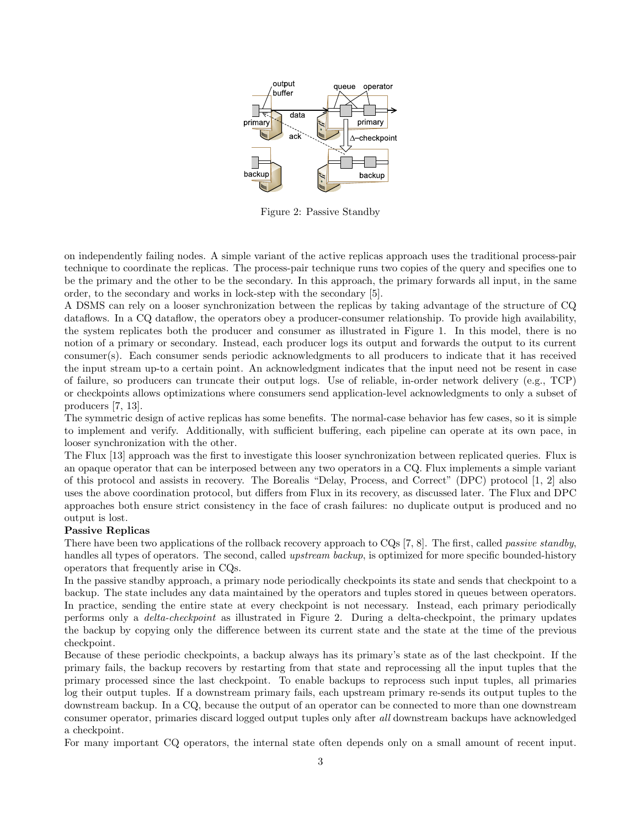

Figure 2: Passive Standby

on independently failing nodes. A simple variant of the active replicas approach uses the traditional process-pair technique to coordinate the replicas. The process-pair technique runs two copies of the query and specifies one to be the primary and the other to be the secondary. In this approach, the primary forwards all input, in the same order, to the secondary and works in lock-step with the secondary [5].

A DSMS can rely on a looser synchronization between the replicas by taking advantage of the structure of CQ dataflows. In a CQ dataflow, the operators obey a producer-consumer relationship. To provide high availability, the system replicates both the producer and consumer as illustrated in Figure 1. In this model, there is no notion of a primary or secondary. Instead, each producer logs its output and forwards the output to its current consumer(s). Each consumer sends periodic acknowledgments to all producers to indicate that it has received the input stream up-to a certain point. An acknowledgment indicates that the input need not be resent in case of failure, so producers can truncate their output logs. Use of reliable, in-order network delivery (e.g., TCP) or checkpoints allows optimizations where consumers send application-level acknowledgments to only a subset of producers [7, 13].

The symmetric design of active replicas has some benefits. The normal-case behavior has few cases, so it is simple to implement and verify. Additionally, with sufficient buffering, each pipeline can operate at its own pace, in looser synchronization with the other.

The Flux [13] approach was the first to investigate this looser synchronization between replicated queries. Flux is an opaque operator that can be interposed between any two operators in a CQ. Flux implements a simple variant of this protocol and assists in recovery. The Borealis "Delay, Process, and Correct" (DPC) protocol [1, 2] also uses the above coordination protocol, but differs from Flux in its recovery, as discussed later. The Flux and DPC approaches both ensure strict consistency in the face of crash failures: no duplicate output is produced and no output is lost.

#### Passive Replicas

There have been two applications of the rollback recovery approach to CQs [7, 8]. The first, called passive standby, handles all types of operators. The second, called *upstream backup*, is optimized for more specific bounded-history operators that frequently arise in CQs.

In the passive standby approach, a primary node periodically checkpoints its state and sends that checkpoint to a backup. The state includes any data maintained by the operators and tuples stored in queues between operators. In practice, sending the entire state at every checkpoint is not necessary. Instead, each primary periodically performs only a delta-checkpoint as illustrated in Figure 2. During a delta-checkpoint, the primary updates the backup by copying only the difference between its current state and the state at the time of the previous checkpoint.

Because of these periodic checkpoints, a backup always has its primary's state as of the last checkpoint. If the primary fails, the backup recovers by restarting from that state and reprocessing all the input tuples that the primary processed since the last checkpoint. To enable backups to reprocess such input tuples, all primaries log their output tuples. If a downstream primary fails, each upstream primary re-sends its output tuples to the downstream backup. In a CQ, because the output of an operator can be connected to more than one downstream consumer operator, primaries discard logged output tuples only after all downstream backups have acknowledged a checkpoint.

For many important CQ operators, the internal state often depends only on a small amount of recent input.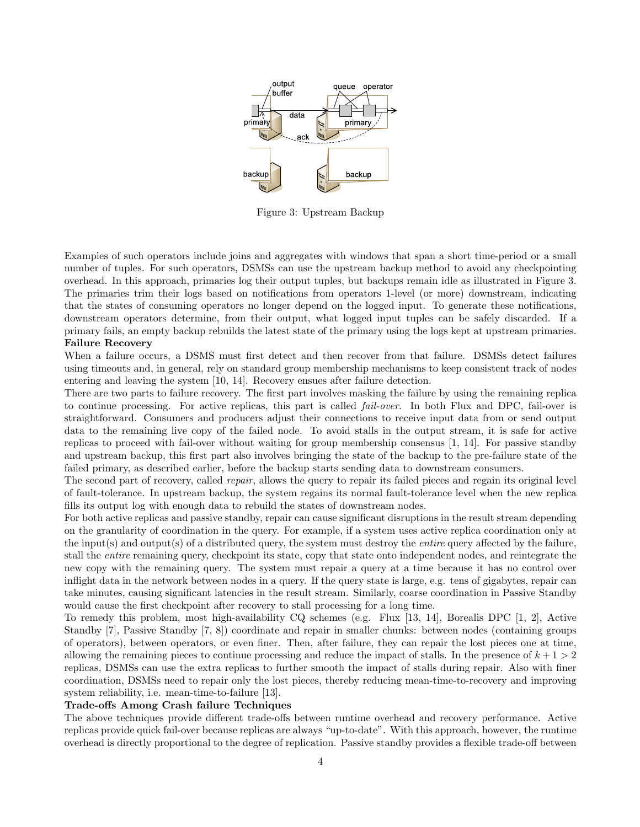

Figure 3: Upstream Backup

Examples of such operators include joins and aggregates with windows that span a short time-period or a small number of tuples. For such operators, DSMSs can use the upstream backup method to avoid any checkpointing overhead. In this approach, primaries log their output tuples, but backups remain idle as illustrated in Figure 3. The primaries trim their logs based on notifications from operators 1-level (or more) downstream, indicating that the states of consuming operators no longer depend on the logged input. To generate these notifications, downstream operators determine, from their output, what logged input tuples can be safely discarded. If a primary fails, an empty backup rebuilds the latest state of the primary using the logs kept at upstream primaries. Failure Recovery

When a failure occurs, a DSMS must first detect and then recover from that failure. DSMSs detect failures using timeouts and, in general, rely on standard group membership mechanisms to keep consistent track of nodes entering and leaving the system [10, 14]. Recovery ensues after failure detection.

There are two parts to failure recovery. The first part involves masking the failure by using the remaining replica to continue processing. For active replicas, this part is called fail-over. In both Flux and DPC, fail-over is straightforward. Consumers and producers adjust their connections to receive input data from or send output data to the remaining live copy of the failed node. To avoid stalls in the output stream, it is safe for active replicas to proceed with fail-over without waiting for group membership consensus [1, 14]. For passive standby and upstream backup, this first part also involves bringing the state of the backup to the pre-failure state of the failed primary, as described earlier, before the backup starts sending data to downstream consumers.

The second part of recovery, called *repair*, allows the query to repair its failed pieces and regain its original level of fault-tolerance. In upstream backup, the system regains its normal fault-tolerance level when the new replica fills its output log with enough data to rebuild the states of downstream nodes.

For both active replicas and passive standby, repair can cause significant disruptions in the result stream depending on the granularity of coordination in the query. For example, if a system uses active replica coordination only at the input(s) and output(s) of a distributed query, the system must destroy the entire query affected by the failure, stall the entire remaining query, checkpoint its state, copy that state onto independent nodes, and reintegrate the new copy with the remaining query. The system must repair a query at a time because it has no control over inflight data in the network between nodes in a query. If the query state is large, e.g. tens of gigabytes, repair can take minutes, causing significant latencies in the result stream. Similarly, coarse coordination in Passive Standby would cause the first checkpoint after recovery to stall processing for a long time.

To remedy this problem, most high-availability CQ schemes (e.g. Flux [13, 14], Borealis DPC [1, 2], Active Standby [7], Passive Standby [7, 8]) coordinate and repair in smaller chunks: between nodes (containing groups of operators), between operators, or even finer. Then, after failure, they can repair the lost pieces one at time, allowing the remaining pieces to continue processing and reduce the impact of stalls. In the presence of  $k+1 > 2$ replicas, DSMSs can use the extra replicas to further smooth the impact of stalls during repair. Also with finer coordination, DSMSs need to repair only the lost pieces, thereby reducing mean-time-to-recovery and improving system reliability, i.e. mean-time-to-failure [13].

# Trade-offs Among Crash failure Techniques

The above techniques provide different trade-offs between runtime overhead and recovery performance. Active replicas provide quick fail-over because replicas are always "up-to-date". With this approach, however, the runtime overhead is directly proportional to the degree of replication. Passive standby provides a flexible trade-off between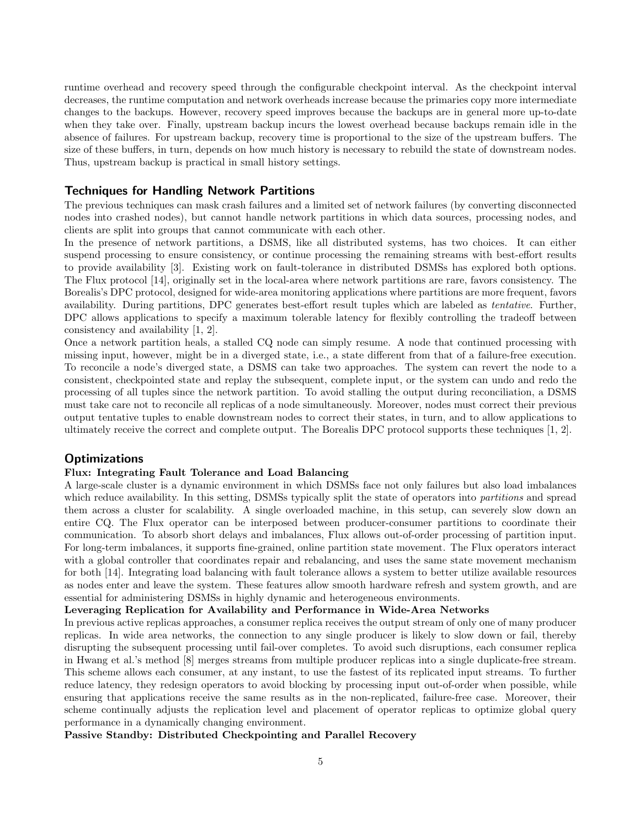runtime overhead and recovery speed through the configurable checkpoint interval. As the checkpoint interval decreases, the runtime computation and network overheads increase because the primaries copy more intermediate changes to the backups. However, recovery speed improves because the backups are in general more up-to-date when they take over. Finally, upstream backup incurs the lowest overhead because backups remain idle in the absence of failures. For upstream backup, recovery time is proportional to the size of the upstream buffers. The size of these buffers, in turn, depends on how much history is necessary to rebuild the state of downstream nodes. Thus, upstream backup is practical in small history settings.

# Techniques for Handling Network Partitions

The previous techniques can mask crash failures and a limited set of network failures (by converting disconnected nodes into crashed nodes), but cannot handle network partitions in which data sources, processing nodes, and clients are split into groups that cannot communicate with each other.

In the presence of network partitions, a DSMS, like all distributed systems, has two choices. It can either suspend processing to ensure consistency, or continue processing the remaining streams with best-effort results to provide availability [3]. Existing work on fault-tolerance in distributed DSMSs has explored both options. The Flux protocol [14], originally set in the local-area where network partitions are rare, favors consistency. The Borealis's DPC protocol, designed for wide-area monitoring applications where partitions are more frequent, favors availability. During partitions, DPC generates best-effort result tuples which are labeled as tentative. Further, DPC allows applications to specify a maximum tolerable latency for flexibly controlling the tradeoff between consistency and availability [1, 2].

Once a network partition heals, a stalled CQ node can simply resume. A node that continued processing with missing input, however, might be in a diverged state, i.e., a state different from that of a failure-free execution. To reconcile a node's diverged state, a DSMS can take two approaches. The system can revert the node to a consistent, checkpointed state and replay the subsequent, complete input, or the system can undo and redo the processing of all tuples since the network partition. To avoid stalling the output during reconciliation, a DSMS must take care not to reconcile all replicas of a node simultaneously. Moreover, nodes must correct their previous output tentative tuples to enable downstream nodes to correct their states, in turn, and to allow applications to ultimately receive the correct and complete output. The Borealis DPC protocol supports these techniques [1, 2].

# **Optimizations**

## Flux: Integrating Fault Tolerance and Load Balancing

A large-scale cluster is a dynamic environment in which DSMSs face not only failures but also load imbalances which reduce availability. In this setting, DSMSs typically split the state of operators into partitions and spread them across a cluster for scalability. A single overloaded machine, in this setup, can severely slow down an entire CQ. The Flux operator can be interposed between producer-consumer partitions to coordinate their communication. To absorb short delays and imbalances, Flux allows out-of-order processing of partition input. For long-term imbalances, it supports fine-grained, online partition state movement. The Flux operators interact with a global controller that coordinates repair and rebalancing, and uses the same state movement mechanism for both [14]. Integrating load balancing with fault tolerance allows a system to better utilize available resources as nodes enter and leave the system. These features allow smooth hardware refresh and system growth, and are essential for administering DSMSs in highly dynamic and heterogeneous environments.

## Leveraging Replication for Availability and Performance in Wide-Area Networks

In previous active replicas approaches, a consumer replica receives the output stream of only one of many producer replicas. In wide area networks, the connection to any single producer is likely to slow down or fail, thereby disrupting the subsequent processing until fail-over completes. To avoid such disruptions, each consumer replica in Hwang et al.'s method [8] merges streams from multiple producer replicas into a single duplicate-free stream. This scheme allows each consumer, at any instant, to use the fastest of its replicated input streams. To further reduce latency, they redesign operators to avoid blocking by processing input out-of-order when possible, while ensuring that applications receive the same results as in the non-replicated, failure-free case. Moreover, their scheme continually adjusts the replication level and placement of operator replicas to optimize global query performance in a dynamically changing environment.

#### Passive Standby: Distributed Checkpointing and Parallel Recovery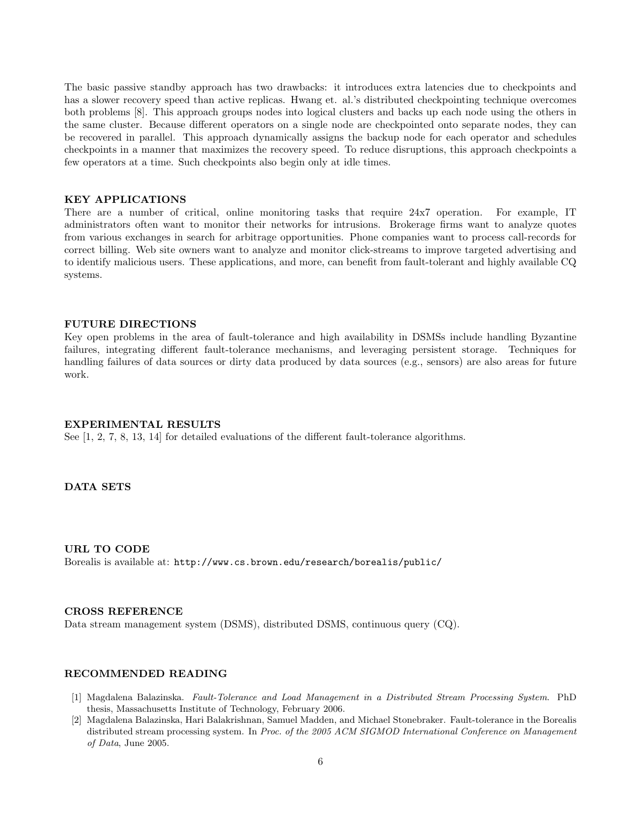The basic passive standby approach has two drawbacks: it introduces extra latencies due to checkpoints and has a slower recovery speed than active replicas. Hwang et. al.'s distributed checkpointing technique overcomes both problems [8]. This approach groups nodes into logical clusters and backs up each node using the others in the same cluster. Because different operators on a single node are checkpointed onto separate nodes, they can be recovered in parallel. This approach dynamically assigns the backup node for each operator and schedules checkpoints in a manner that maximizes the recovery speed. To reduce disruptions, this approach checkpoints a few operators at a time. Such checkpoints also begin only at idle times.

#### KEY APPLICATIONS

There are a number of critical, online monitoring tasks that require 24x7 operation. For example, IT administrators often want to monitor their networks for intrusions. Brokerage firms want to analyze quotes from various exchanges in search for arbitrage opportunities. Phone companies want to process call-records for correct billing. Web site owners want to analyze and monitor click-streams to improve targeted advertising and to identify malicious users. These applications, and more, can benefit from fault-tolerant and highly available CQ systems.

#### FUTURE DIRECTIONS

Key open problems in the area of fault-tolerance and high availability in DSMSs include handling Byzantine failures, integrating different fault-tolerance mechanisms, and leveraging persistent storage. Techniques for handling failures of data sources or dirty data produced by data sources (e.g., sensors) are also areas for future work.

## EXPERIMENTAL RESULTS

See [1, 2, 7, 8, 13, 14] for detailed evaluations of the different fault-tolerance algorithms.

# DATA SETS

#### URL TO CODE

Borealis is available at: http://www.cs.brown.edu/research/borealis/public/

#### CROSS REFERENCE

Data stream management system (DSMS), distributed DSMS, continuous query (CQ).

## RECOMMENDED READING

- [1] Magdalena Balazinska. Fault-Tolerance and Load Management in a Distributed Stream Processing System. PhD thesis, Massachusetts Institute of Technology, February 2006.
- [2] Magdalena Balazinska, Hari Balakrishnan, Samuel Madden, and Michael Stonebraker. Fault-tolerance in the Borealis distributed stream processing system. In Proc. of the 2005 ACM SIGMOD International Conference on Management of Data, June 2005.